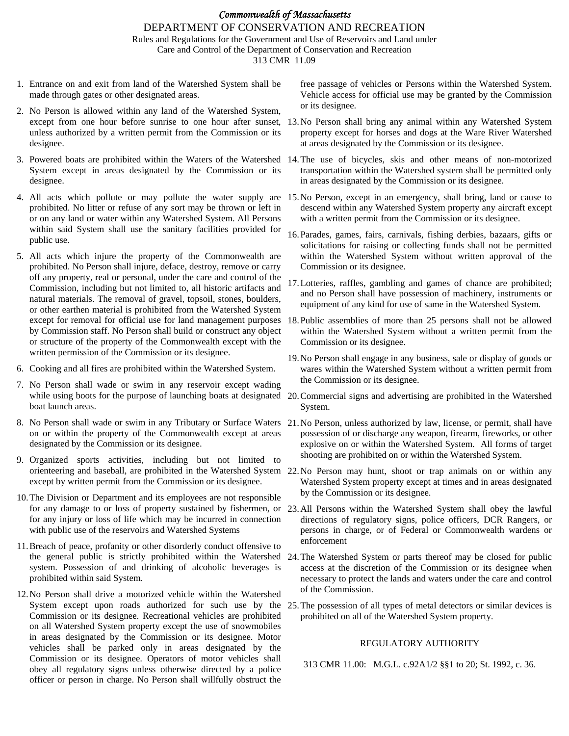## *Commonwealth of Massachusetts*  DEPARTMENT OF CONSERVATION AND RECREATION Rules and Regulations for the Government and Use of Reservoirs and Land under Care and Control of the Department of Conservation and Recreation 313 CMR 11.09

- 1. Entrance on and exit from land of the Watershed System shall be made through gates or other designated areas.
- 2. No Person is allowed within any land of the Watershed System, unless authorized by a written permit from the Commission or its designee.
- System except in areas designated by the Commission or its designee.
- prohibited. No litter or refuse of any sort may be thrown or left in or on any land or water within any Watershed System. All Persons within said System shall use the sanitary facilities provided for public use.
- 5. All acts which injure the property of the Commonwealth are prohibited. No Person shall injure, deface, destroy, remove or carry off any property, real or personal, under the care and control of the Commission, including but not limited to, all historic artifacts and natural materials. The removal of gravel, topsoil, stones, boulders, or other earthen material is prohibited from the Watershed System except for removal for official use for land management purposes by Commission staff. No Person shall build or construct any object or structure of the property of the Commonwealth except with the written permission of the Commission or its designee.
- 6. Cooking and all fires are prohibited within the Watershed System.
- 7. No Person shall wade or swim in any reservoir except wading while using boots for the purpose of launching boats at designated 20.Commercial signs and advertising are prohibited in the Watershed boat launch areas.
- 8. No Person shall wade or swim in any Tributary or Surface Waters on or within the property of the Commonwealth except at areas designated by the Commission or its designee.
- 9. Organized sports activities, including but not limited to orienteering and baseball, are prohibited in the Watershed System except by written permit from the Commission or its designee.
- 10.The Division or Department and its employees are not responsible for any damage to or loss of property sustained by fishermen, or for any injury or loss of life which may be incurred in connection with public use of the reservoirs and Watershed Systems
- 11.Breach of peace, profanity or other disorderly conduct offensive to the general public is strictly prohibited within the Watershed system. Possession of and drinking of alcoholic beverages is prohibited within said System.
- 12.No Person shall drive a motorized vehicle within the Watershed System except upon roads authorized for such use by the Commission or its designee. Recreational vehicles are prohibited on all Watershed System property except the use of snowmobiles in areas designated by the Commission or its designee. Motor vehicles shall be parked only in areas designated by the Commission or its designee. Operators of motor vehicles shall obey all regulatory signs unless otherwise directed by a police officer or person in charge. No Person shall willfully obstruct the

free passage of vehicles or Persons within the Watershed System. Vehicle access for official use may be granted by the Commission or its designee.

- except from one hour before sunrise to one hour after sunset, 13.No Person shall bring any animal within any Watershed System property except for horses and dogs at the Ware River Watershed at areas designated by the Commission or its designee.
- 3. Powered boats are prohibited within the Waters of the Watershed 14.The use of bicycles, skis and other means of non-motorized transportation within the Watershed system shall be permitted only in areas designated by the Commission or its designee.
- 4. All acts which pollute or may pollute the water supply are 15.No Person, except in an emergency, shall bring, land or cause to descend within any Watershed System property any aircraft except with a written permit from the Commission or its designee.
	- 16.Parades, games, fairs, carnivals, fishing derbies, bazaars, gifts or solicitations for raising or collecting funds shall not be permitted within the Watershed System without written approval of the Commission or its designee.
	- 17.Lotteries, raffles, gambling and games of chance are prohibited; and no Person shall have possession of machinery, instruments or equipment of any kind for use of same in the Watershed System.
	- 18.Public assemblies of more than 25 persons shall not be allowed within the Watershed System without a written permit from the Commission or its designee.
	- 19.No Person shall engage in any business, sale or display of goods or wares within the Watershed System without a written permit from the Commission or its designee.
	- System.
	- 21.No Person, unless authorized by law, license, or permit, shall have possession of or discharge any weapon, firearm, fireworks, or other explosive on or within the Watershed System. All forms of target shooting are prohibited on or within the Watershed System.
	- 22.No Person may hunt, shoot or trap animals on or within any Watershed System property except at times and in areas designated by the Commission or its designee.
	- 23.All Persons within the Watershed System shall obey the lawful directions of regulatory signs, police officers, DCR Rangers, or persons in charge, or of Federal or Commonwealth wardens or enforcement
	- 24.The Watershed System or parts thereof may be closed for public access at the discretion of the Commission or its designee when necessary to protect the lands and waters under the care and control of the Commission.
	- 25.The possession of all types of metal detectors or similar devices is prohibited on all of the Watershed System property.

## REGULATORY AUTHORITY

313 CMR 11.00: M.G.L. c.92A1/2 §§1 to 20; St. 1992, c. 36.